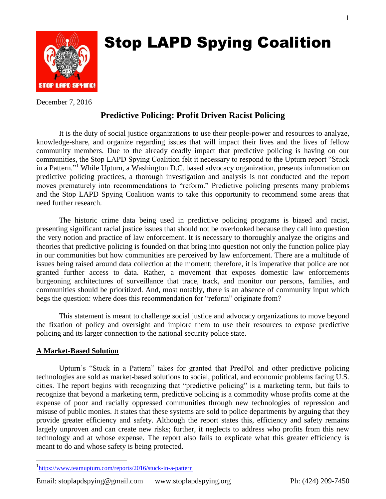

# Stop LAPD Spying Coalition

December 7, 2016

# **Predictive Policing: Profit Driven Racist Policing**

It is the duty of social justice organizations to use their people-power and resources to analyze, knowledge-share, and organize regarding issues that will impact their lives and the lives of fellow community members. Due to the already deadly impact that predictive policing is having on our communities, the Stop LAPD Spying Coalition felt it necessary to respond to the Upturn report "Stuck in a Pattern." <sup>1</sup> While Upturn, a Washington D.C. based advocacy organization, presents information on predictive policing practices, a thorough investigation and analysis is not conducted and the report moves prematurely into recommendations to "reform." Predictive policing presents many problems and the Stop LAPD Spying Coalition wants to take this opportunity to recommend some areas that need further research.

The historic crime data being used in predictive policing programs is biased and racist, presenting significant racial justice issues that should not be overlooked because they call into question the very notion and practice of law enforcement. It is necessary to thoroughly analyze the origins and theories that predictive policing is founded on that bring into question not only the function police play in our communities but how communities are perceived by law enforcement. There are a multitude of issues being raised around data collection at the moment; therefore, it is imperative that police are not granted further access to data. Rather, a movement that exposes domestic law enforcements burgeoning architectures of surveillance that trace, track, and monitor our persons, families, and communities should be prioritized. And, most notably, there is an absence of community input which begs the question: where does this recommendation for "reform" originate from?

This statement is meant to challenge social justice and advocacy organizations to move beyond the fixation of policy and oversight and implore them to use their resources to expose predictive policing and its larger connection to the national security police state.

## **A Market-Based Solution**

 $\overline{a}$ 

Upturn's "Stuck in a Pattern" takes for granted that PredPol and other predictive policing technologies are sold as market-based solutions to social, political, and economic problems facing U.S. cities. The report begins with recognizing that "predictive policing" is a marketing term, but fails to recognize that beyond a marketing term, predictive policing is a commodity whose profits come at the expense of poor and racially oppressed communities through new technologies of repression and misuse of public monies. It states that these systems are sold to police departments by arguing that they provide greater efficiency and safety. Although the report states this, efficiency and safety remains largely unproven and can create new risks; further, it neglects to address who profits from this new technology and at whose expense. The report also fails to explicate what this greater efficiency is meant to do and whose safety is being protected.

<sup>&</sup>lt;sup>1</sup><https://www.teamupturn.com/reports/2016/stuck-in-a-pattern>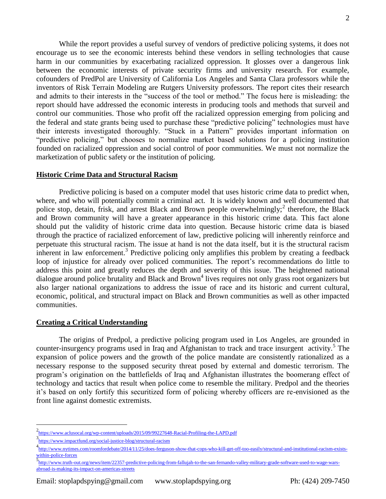While the report provides a useful survey of vendors of predictive policing systems, it does not encourage us to see the economic interests behind these vendors in selling technologies that cause harm in our communities by exacerbating racialized oppression. It glosses over a dangerous link between the economic interests of private security firms and university research. For example, cofounders of PredPol are University of California Los Angeles and Santa Clara professors while the inventors of Risk Terrain Modeling are Rutgers University professors. The report cites their research and admits to their interests in the "success of the tool or method." The focus here is misleading: the report should have addressed the economic interests in producing tools and methods that surveil and control our communities. Those who profit off the racialized oppression emerging from policing and the federal and state grants being used to purchase these "predictive policing" technologies must have their interests investigated thoroughly. "Stuck in a Pattern" provides important information on "predictive policing," but chooses to normalize market based solutions for a policing institution founded on racialized oppression and social control of poor communities. We must not normalize the marketization of public safety or the institution of policing.

## **Historic Crime Data and Structural Racism**

Predictive policing is based on a computer model that uses historic crime data to predict when, where, and who will potentially commit a criminal act. It is widely known and well documented that police stop, detain, frisk, and arrest Black and Brown people overwhelmingly;<sup>2</sup> therefore, the Black and Brown community will have a greater appearance in this historic crime data. This fact alone should put the validity of historic crime data into question. Because historic crime data is biased through the practice of racialized enforcement of law, predictive policing will inherently reinforce and perpetuate this structural racism. The issue at hand is not the data itself, but it is the structural racism inherent in law enforcement.<sup>3</sup> Predictive policing only amplifies this problem by creating a feedback loop of injustice for already over policed communities. The report's recommendations do little to address this point and greatly reduces the depth and severity of this issue. The heightened national dialogue around police brutality and Black and Brown<sup>4</sup> lives requires not only grass root organizers but also larger national organizations to address the issue of race and its historic and current cultural, economic, political, and structural impact on Black and Brown communities as well as other impacted communities.

## **Creating a Critical Understanding**

The origins of Predpol, a predictive policing program used in Los Angeles, are grounded in counter-insurgency programs used in Iraq and Afghanistan to track and trace insurgent activity.<sup>5</sup> The expansion of police powers and the growth of the police mandate are consistently rationalized as a necessary response to the supposed security threat posed by external and domestic terrorism. The program's origination on the battlefields of Iraq and Afghanistan illustrates the boomerang effect of technology and tactics that result when police come to resemble the military. Predpol and the theories it's based on only fortify this securitized form of policing whereby officers are re-envisioned as the front line against domestic extremists.

 $\overline{a}$ 

<sup>2&</sup>lt;br><https://www.aclusocal.org/wp-content/uploads/2015/09/99227648-Racial-Profiling-the-LAPD.pdf>

<sup>3</sup> <https://www.impactfund.org/social-justice-blog/structural-racism>

<sup>4</sup> [http://www.nytimes.com/roomfordebate/2014/11/25/does-ferguson-show-that-cops-who-kill-get-off-too-easily/structural-and-institutional-racism-exists](http://www.nytimes.com/roomfordebate/2014/11/25/does-ferguson-show-that-cops-who-kill-get-off-too-easily/structural-and-institutional-racism-exists-within-police-forces)[within-police-forces](http://www.nytimes.com/roomfordebate/2014/11/25/does-ferguson-show-that-cops-who-kill-get-off-too-easily/structural-and-institutional-racism-exists-within-police-forces)

<sup>5&</sup>lt;br>[http://www.truth-out.org/news/item/22357-predictive-policing-from-fallujah-to-the-san-fernando-valley-military-grade-software-used-to-wage-wars](http://www.truth-out.org/news/item/22357-predictive-policing-from-fallujah-to-the-san-fernando-valley-military-grade-software-used-to-wage-wars-abroad-is-making-its-impact-on-americas-streets)[abroad-is-making-its-impact-on-americas-streets](http://www.truth-out.org/news/item/22357-predictive-policing-from-fallujah-to-the-san-fernando-valley-military-grade-software-used-to-wage-wars-abroad-is-making-its-impact-on-americas-streets)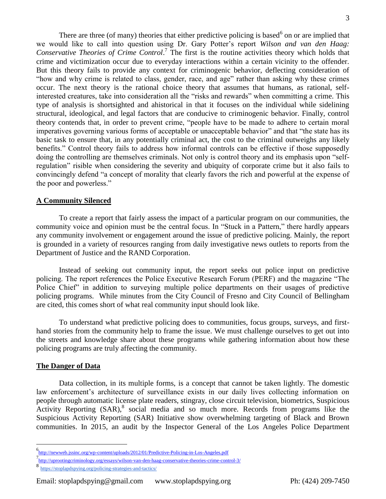There are three (of many) theories that either predictive policing is based  $6$  on or are implied that we would like to call into question using Dr. Gary Potter's report *Wilson and van den Haag:*  Conservative Theories of Crime Control.<sup>7</sup> The first is the routine activities theory which holds that crime and victimization occur due to everyday interactions within a certain vicinity to the offender. But this theory fails to provide any context for criminogenic behavior, deflecting consideration of "how and why crime is related to class, gender, race, and age" rather than asking why these crimes occur. The next theory is the rational choice theory that assumes that humans, as rational, selfinterested creatures, take into consideration all the "risks and rewards" when committing a crime. This type of analysis is shortsighted and ahistorical in that it focuses on the individual while sidelining structural, ideological, and legal factors that are conducive to criminogenic behavior. Finally, control theory contends that, in order to prevent crime, "people have to be made to adhere to certain moral imperatives governing various forms of acceptable or unacceptable behavior" and that "the state has its basic task to ensure that, in any potentially criminal act, the cost to the criminal outweighs any likely benefits." Control theory fails to address how informal controls can be effective if those supposedly doing the controlling are themselves criminals. Not only is control theory and its emphasis upon "selfregulation" risible when considering the severity and ubiquity of corporate crime but it also fails to convincingly defend "a concept of morality that clearly favors the rich and powerful at the expense of the poor and powerless."

#### **A Community Silenced**

To create a report that fairly assess the impact of a particular program on our communities, the community voice and opinion must be the central focus. In "Stuck in a Pattern," there hardly appears any community involvement or engagement around the issue of predictive policing. Mainly, the report is grounded in a variety of resources ranging from daily investigative news outlets to reports from the Department of Justice and the RAND Corporation.

Instead of seeking out community input, the report seeks out police input on predictive policing. The report references the Police Executive Research Forum (PERF) and the magazine "The Police Chief" in addition to surveying multiple police departments on their usages of predictive policing programs. While minutes from the City Council of Fresno and City Council of Bellingham are cited, this comes short of what real community input should look like.

To understand what predictive policing does to communities, focus groups, surveys, and firsthand stories from the community help to frame the issue. We must challenge ourselves to get out into the streets and knowledge share about these programs while gathering information about how these policing programs are truly affecting the community.

#### **The Danger of Data**

 $\overline{a}$ 

Data collection, in its multiple forms, is a concept that cannot be taken lightly. The domestic law enforcement's architecture of surveillance exists in our daily lives collecting information on people through automatic license plate readers, stingray, close circuit television, biometrics, Suspicious Activity Reporting (SAR),<sup>8</sup> social media and so much more. Records from programs like the Suspicious Activity Reporting (SAR) Initiative show overwhelming targeting of Black and Brown communities. In 2015, an audit by the Inspector General of the Los Angeles Police Department

<sup>6</sup> <http://newweb.jssinc.org/wp-content/uploads/2012/01/Predictive-Policing-in-Los-Angeles.pdf>

<sup>7</sup> <http://uprootingcriminology.org/essays/wilson-van-den-haag-conservative-theories-crime-control-3/>

<sup>8&</sup>lt;br><https://stoplapdspying.org/policing-strategies-and-tactics/>